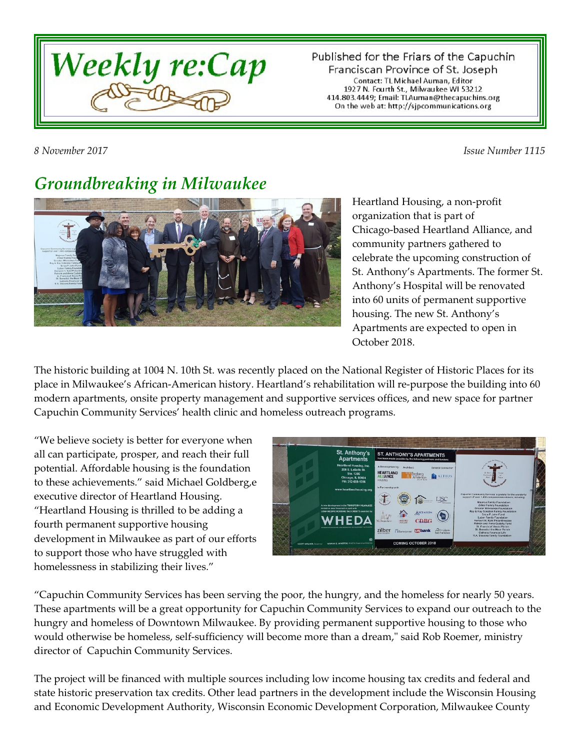

Published for the Friars of the Capuchin Franciscan Province of St. Joseph Contact: TL Michael Auman, Editor 1927 N. Fourth St., Milwaukee WI 53212<br>414.803.4449; Email: TLAuman@thecapuchins.org On the web at: http://sjpcommunications.org

*8 November 2017 Issue Number 1115*

## *Groundbreaking in Milwaukee*



Heartland Housing, a non-profit organization that is part of Chicago-based Heartland Alliance, and community partners gathered to celebrate the upcoming construction of St. Anthony's Apartments. The former St. Anthony's Hospital will be renovated into 60 units of permanent supportive housing. The new St. Anthony's Apartments are expected to open in October 2018.

The historic building at 1004 N. 10th St. was recently placed on the National Register of Historic Places for its place in Milwaukee's African-American history. Heartland's rehabilitation will re-purpose the building into 60 modern apartments, onsite property management and supportive services offices, and new space for partner Capuchin Community Services' health clinic and homeless outreach programs.

"We believe society is better for everyone when all can participate, prosper, and reach their full potential. Affordable housing is the foundation to these achievements." said Michael Goldberg,e executive director of Heartland Housing. "Heartland Housing is thrilled to be adding a fourth permanent supportive housing development in Milwaukee as part of our efforts to support those who have struggled with homelessness in stabilizing their lives."



"Capuchin Community Services has been serving the poor, the hungry, and the homeless for nearly 50 years. These apartments will be a great opportunity for Capuchin Community Services to expand our outreach to the hungry and homeless of Downtown Milwaukee. By providing permanent supportive housing to those who would otherwise be homeless, self-sufficiency will become more than a dream," said Rob Roemer, ministry director of Capuchin Community Services.

The project will be financed with multiple sources including low income housing tax credits and federal and state historic preservation tax credits. Other lead partners in the development include the Wisconsin Housing and Economic Development Authority, Wisconsin Economic Development Corporation, Milwaukee County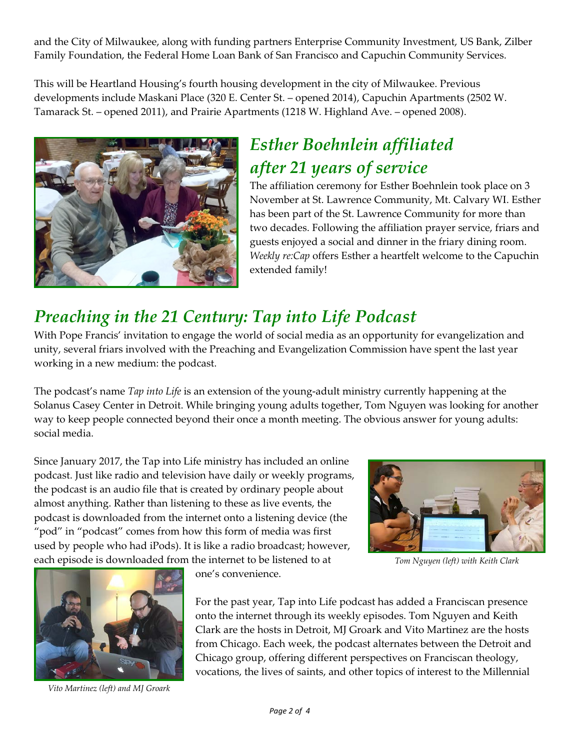and the City of Milwaukee, along with funding partners Enterprise Community Investment, US Bank, Zilber Family Foundation, the Federal Home Loan Bank of San Francisco and Capuchin Community Services.

This will be Heartland Housing's fourth housing development in the city of Milwaukee. Previous developments include Maskani Place (320 E. Center St. – opened 2014), Capuchin Apartments (2502 W. Tamarack St. – opened 2011), and Prairie Apartments (1218 W. Highland Ave. – opened 2008).



### *Esther Boehnlein affiliated after 21 years of service*

The affiliation ceremony for Esther Boehnlein took place on 3 November at St. Lawrence Community, Mt. Calvary WI. Esther has been part of the St. Lawrence Community for more than two decades. Following the affiliation prayer service, friars and guests enjoyed a social and dinner in the friary dining room. *Weekly re:Cap* offers Esther a heartfelt welcome to the Capuchin extended family!

#### *Preaching in the 21 Century: Tap into Life Podcast*

With Pope Francis' invitation to engage the world of social media as an opportunity for evangelization and unity, several friars involved with the Preaching and Evangelization Commission have spent the last year working in a new medium: the podcast.

The podcast's name *Tap into Life* is an extension of the young-adult ministry currently happening at the Solanus Casey Center in Detroit. While bringing young adults together, Tom Nguyen was looking for another way to keep people connected beyond their once a month meeting. The obvious answer for young adults: social media.

Since January 2017, the Tap into Life ministry has included an online podcast. Just like radio and television have daily or weekly programs, the podcast is an audio file that is created by ordinary people about almost anything. Rather than listening to these as live events, the podcast is downloaded from the internet onto a listening device (the "pod" in "podcast" comes from how this form of media was first used by people who had iPods). It is like a radio broadcast; however, each episode is downloaded from the internet to be listened to at



*Tom Nguyen (left) with Keith Clark*



*Vito Martinez (left) and MJ Groark*

one's convenience.

For the past year, Tap into Life podcast has added a Franciscan presence onto the internet through its weekly episodes. Tom Nguyen and Keith Clark are the hosts in Detroit, MJ Groark and Vito Martinez are the hosts from Chicago. Each week, the podcast alternates between the Detroit and Chicago group, offering different perspectives on Franciscan theology, vocations, the lives of saints, and other topics of interest to the Millennial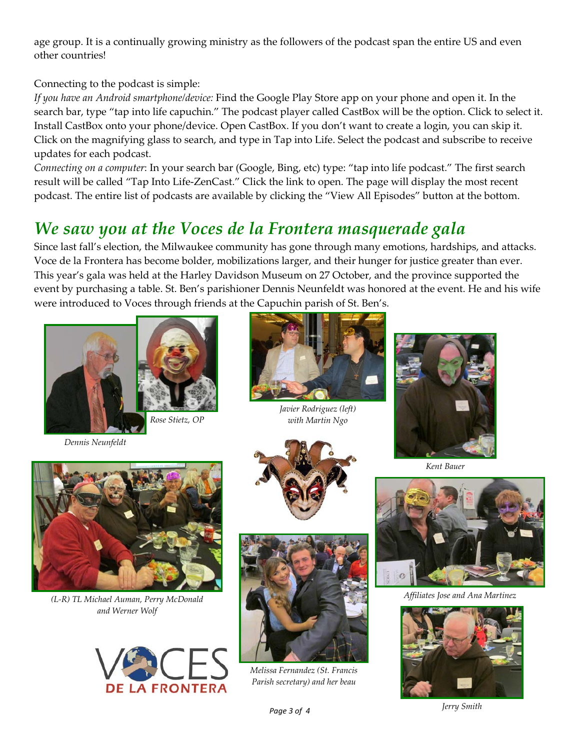age group. It is a continually growing ministry as the followers of the podcast span the entire US and even other countries!

Connecting to the podcast is simple:

*If you have an Android smartphone/device:* Find the Google Play Store app on your phone and open it. In the search bar, type "tap into life capuchin." The podcast player called CastBox will be the option. Click to select it. Install CastBox onto your phone/device. Open CastBox. If you don't want to create a login, you can skip it. Click on the magnifying glass to search, and type in Tap into Life. Select the podcast and subscribe to receive updates for each podcast.

*Connecting on a computer*: In your search bar (Google, Bing, etc) type: "tap into life podcast." The first search result will be called "Tap Into Life-ZenCast." Click the link to open. The page will display the most recent podcast. The entire list of podcasts are available by clicking the "View All Episodes" button at the bottom.

### *We saw you at the Voces de la Frontera masquerade gala*

Since last fall's election, the Milwaukee community has gone through many emotions, hardships, and attacks. Voce de la Frontera has become bolder, mobilizations larger, and their hunger for justice greater than ever. This year's gala was held at the Harley Davidson Museum on 27 October, and the province supported the event by purchasing a table. St. Ben's parishioner Dennis Neunfeldt was honored at the event. He and his wife were introduced to Voces through friends at the Capuchin parish of St. Ben's.



*Dennis Neunfeldt*



*(L-R) TL Michael Auman, Perry McDonald and Werner Wolf*





*Javier Rodriguez (left) with Martin Ngo*





*Melissa Fernandez (St. Francis Parish secretary) and her beau*



*Kent Bauer*



*Affiliates Jose and Ana Martinez*